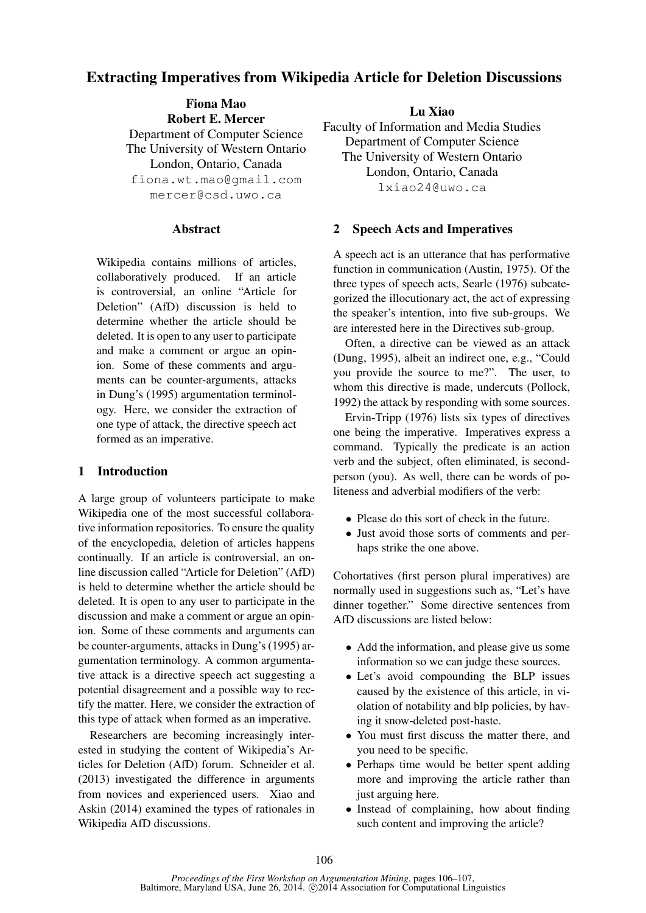# Extracting Imperatives from Wikipedia Article for Deletion Discussions

Fiona Mao Robert E. Mercer Department of Computer Science The University of Western Ontario London, Ontario, Canada fiona.wt.mao@gmail.com mercer@csd.uwo.ca

### **Abstract**

Wikipedia contains millions of articles, collaboratively produced. If an article is controversial, an online "Article for Deletion" (AfD) discussion is held to determine whether the article should be deleted. It is open to any user to participate and make a comment or argue an opinion. Some of these comments and arguments can be counter-arguments, attacks in Dung's (1995) argumentation terminology. Here, we consider the extraction of one type of attack, the directive speech act formed as an imperative.

## 1 Introduction

A large group of volunteers participate to make Wikipedia one of the most successful collaborative information repositories. To ensure the quality of the encyclopedia, deletion of articles happens continually. If an article is controversial, an online discussion called "Article for Deletion" (AfD) is held to determine whether the article should be deleted. It is open to any user to participate in the discussion and make a comment or argue an opinion. Some of these comments and arguments can be counter-arguments, attacks in Dung's (1995) argumentation terminology. A common argumentative attack is a directive speech act suggesting a potential disagreement and a possible way to rectify the matter. Here, we consider the extraction of this type of attack when formed as an imperative.

Researchers are becoming increasingly interested in studying the content of Wikipedia's Articles for Deletion (AfD) forum. Schneider et al. (2013) investigated the difference in arguments from novices and experienced users. Xiao and Askin (2014) examined the types of rationales in Wikipedia AfD discussions.

Lu Xiao Faculty of Information and Media Studies Department of Computer Science The University of Western Ontario London, Ontario, Canada lxiao24@uwo.ca

## 2 Speech Acts and Imperatives

A speech act is an utterance that has performative function in communication (Austin, 1975). Of the three types of speech acts, Searle (1976) subcategorized the illocutionary act, the act of expressing the speaker's intention, into five sub-groups. We are interested here in the Directives sub-group.

Often, a directive can be viewed as an attack (Dung, 1995), albeit an indirect one, e.g., "Could you provide the source to me?". The user, to whom this directive is made, undercuts (Pollock, 1992) the attack by responding with some sources.

Ervin-Tripp (1976) lists six types of directives one being the imperative. Imperatives express a command. Typically the predicate is an action verb and the subject, often eliminated, is secondperson (you). As well, there can be words of politeness and adverbial modifiers of the verb:

- Please do this sort of check in the future.
- Just avoid those sorts of comments and perhaps strike the one above.

Cohortatives (first person plural imperatives) are normally used in suggestions such as, "Let's have dinner together." Some directive sentences from AfD discussions are listed below:

- Add the information, and please give us some information so we can judge these sources.
- Let's avoid compounding the BLP issues caused by the existence of this article, in violation of notability and blp policies, by having it snow-deleted post-haste.
- You must first discuss the matter there, and you need to be specific.
- Perhaps time would be better spent adding more and improving the article rather than just arguing here.
- Instead of complaining, how about finding such content and improving the article?